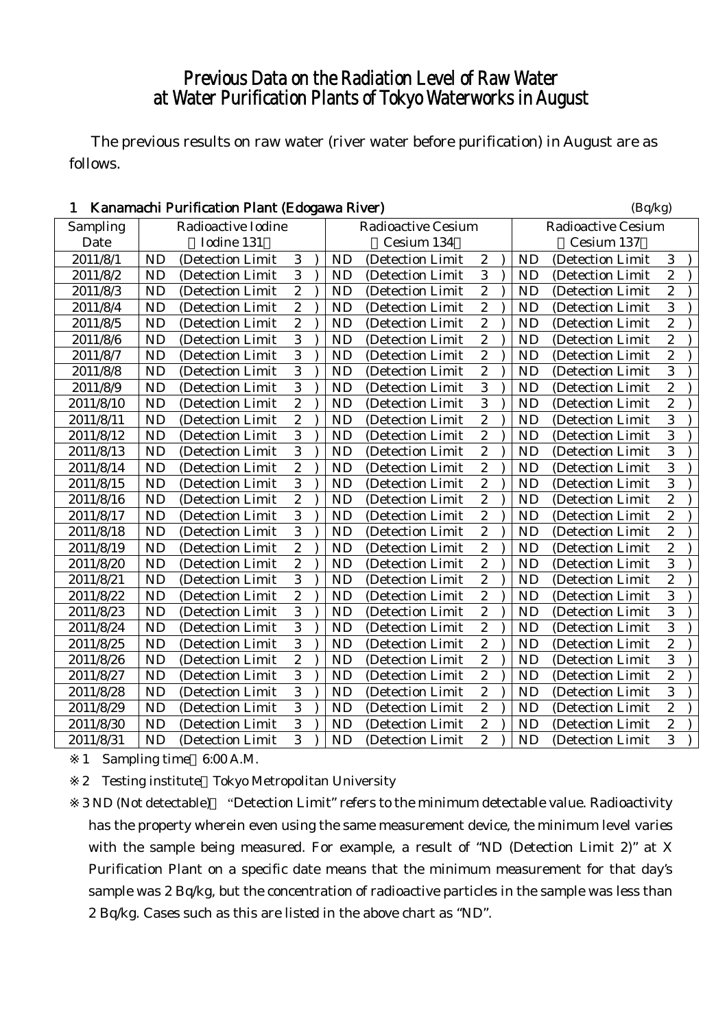## Previous Data on the Radiation Level of Raw Water at Water Purification Plants of Tokyo Waterworks in August

The previous results on raw water (river water before purification) in August are as follows.

| 1         |           | Kanamachi Purification Plant (Edogawa River) |                  |           |                           |                  |           | (Bq/kg)                   |                         |  |
|-----------|-----------|----------------------------------------------|------------------|-----------|---------------------------|------------------|-----------|---------------------------|-------------------------|--|
| Sampling  |           | Radioactive Iodine                           |                  |           | <b>Radioactive Cesium</b> |                  |           | <b>Radioactive Cesium</b> |                         |  |
| Date      |           | Iodine 131                                   |                  |           | Cesium 134                |                  |           | Cesium 137                |                         |  |
| 2011/8/1  | <b>ND</b> | (Detection Limit                             | 3                | <b>ND</b> | (Detection Limit          | $\boldsymbol{2}$ | <b>ND</b> | (Detection Limit          | 3                       |  |
| 2011/8/2  | <b>ND</b> | (Detection Limit                             | 3                | <b>ND</b> | (Detection Limit          | 3                | <b>ND</b> | (Detection Limit          | $\overline{c}$          |  |
| 2011/8/3  | <b>ND</b> | (Detection Limit                             | $\overline{c}$   | <b>ND</b> | (Detection Limit          | $\overline{c}$   | <b>ND</b> | (Detection Limit          | $\overline{c}$          |  |
| 2011/8/4  | <b>ND</b> | (Detection Limit                             | $\overline{c}$   | <b>ND</b> | (Detection Limit          | $\boldsymbol{2}$ | <b>ND</b> | (Detection Limit          | 3                       |  |
| 2011/8/5  | <b>ND</b> | (Detection Limit                             | $\overline{c}$   | <b>ND</b> | (Detection Limit          | $\overline{c}$   | <b>ND</b> | (Detection Limit          | $\overline{c}$          |  |
| 2011/8/6  | <b>ND</b> | (Detection Limit)                            | 3                | <b>ND</b> | (Detection Limit)         | $\overline{c}$   | <b>ND</b> | (Detection Limit          | $\overline{c}$          |  |
| 2011/8/7  | <b>ND</b> | (Detection Limit                             | $\overline{3}$   | <b>ND</b> | (Detection Limit          | $\overline{2}$   | <b>ND</b> | (Detection Limit          | $\overline{2}$          |  |
| 2011/8/8  | <b>ND</b> | (Detection Limit                             | $\overline{3}$   | <b>ND</b> | (Detection Limit          | $\boldsymbol{2}$ | <b>ND</b> | (Detection Limit          | 3                       |  |
| 2011/8/9  | <b>ND</b> | (Detection Limit                             | $\overline{3}$   | <b>ND</b> | (Detection Limit          | $\sqrt{3}$       | <b>ND</b> | (Detection Limit          | $\overline{\mathbf{c}}$ |  |
| 2011/8/10 | <b>ND</b> | (Detection Limit                             | $\overline{2}$   | <b>ND</b> | (Detection Limit          | 3                | <b>ND</b> | (Detection Limit          | $\overline{2}$          |  |
| 2011/8/11 | <b>ND</b> | (Detection Limit                             | $\overline{2}$   | <b>ND</b> | (Detection Limit          | $\overline{c}$   | <b>ND</b> | (Detection Limit          | 3                       |  |
| 2011/8/12 | <b>ND</b> | (Detection Limit                             | $\overline{3}$   | <b>ND</b> | (Detection Limit          | $\overline{c}$   | <b>ND</b> | (Detection Limit          | $\overline{3}$          |  |
| 2011/8/13 | <b>ND</b> | (Detection Limit                             | $\overline{3}$   | <b>ND</b> | (Detection Limit          | $\boldsymbol{2}$ | <b>ND</b> | (Detection Limit          | 3                       |  |
| 2011/8/14 | <b>ND</b> | (Detection Limit                             | $\sqrt{2}$       | <b>ND</b> | (Detection Limit          | $\boldsymbol{2}$ | <b>ND</b> | (Detection Limit          | 3                       |  |
| 2011/8/15 | <b>ND</b> | (Detection Limit                             | $\overline{3}$   | <b>ND</b> | (Detection Limit          | $\overline{c}$   | <b>ND</b> | (Detection Limit          | 3                       |  |
| 2011/8/16 | <b>ND</b> | (Detection Limit                             | $\overline{2}$   | <b>ND</b> | (Detection Limit          | $\overline{2}$   | <b>ND</b> | (Detection Limit          | $\overline{c}$          |  |
| 2011/8/17 | <b>ND</b> | (Detection Limit                             | $\overline{3}$   | <b>ND</b> | (Detection Limit          | $\overline{c}$   | <b>ND</b> | (Detection Limit          | $\overline{2}$          |  |
| 2011/8/18 | <b>ND</b> | (Detection Limit                             | $\overline{3}$   | <b>ND</b> | (Detection Limit)         | $\boldsymbol{2}$ | <b>ND</b> | (Detection Limit          | $\overline{c}$          |  |
| 2011/8/19 | <b>ND</b> | (Detection Limit                             | $\boldsymbol{2}$ | <b>ND</b> | (Detection Limit          | $\boldsymbol{2}$ | <b>ND</b> | (Detection Limit          | $\overline{c}$          |  |
| 2011/8/20 | <b>ND</b> | (Detection Limit                             | $\overline{c}$   | <b>ND</b> | (Detection Limit          | $\overline{c}$   | <b>ND</b> | (Detection Limit          | 3                       |  |
| 2011/8/21 | <b>ND</b> | (Detection Limit)                            | $\overline{3}$   | <b>ND</b> | (Detection Limit          | $\overline{c}$   | <b>ND</b> | (Detection Limit          | $\overline{c}$          |  |
| 2011/8/22 | <b>ND</b> | (Detection Limit                             | $\overline{2}$   | <b>ND</b> | (Detection Limit)         | $\overline{c}$   | <b>ND</b> | (Detection Limit          | $\overline{3}$          |  |
| 2011/8/23 | <b>ND</b> | (Detection Limit)                            | 3                | <b>ND</b> | (Detection Limit)         | $\boldsymbol{2}$ | <b>ND</b> | (Detection Limit)         | 3                       |  |
| 2011/8/24 | <b>ND</b> | (Detection Limit                             | $\overline{3}$   | <b>ND</b> | (Detection Limit          | $\boldsymbol{2}$ | <b>ND</b> | (Detection Limit          | 3                       |  |
| 2011/8/25 | <b>ND</b> | (Detection Limit                             | $\overline{3}$   | <b>ND</b> | (Detection Limit          | $\overline{c}$   | <b>ND</b> | (Detection Limit          | $\overline{c}$          |  |
| 2011/8/26 | <b>ND</b> | (Detection Limit                             | $\overline{2}$   | <b>ND</b> | (Detection Limit          | $\overline{2}$   | <b>ND</b> | (Detection Limit          | 3                       |  |
| 2011/8/27 | <b>ND</b> | (Detection Limit                             | $\overline{3}$   | <b>ND</b> | (Detection Limit          | $\overline{c}$   | <b>ND</b> | (Detection Limit          | $\overline{2}$          |  |
| 2011/8/28 | <b>ND</b> | (Detection Limit                             | $\overline{3}$   | <b>ND</b> | (Detection Limit          | $\overline{c}$   | <b>ND</b> | (Detection Limit          | 3                       |  |
| 2011/8/29 | <b>ND</b> | (Detection Limit                             | $\overline{3}$   | <b>ND</b> | (Detection Limit          | $\boldsymbol{2}$ | <b>ND</b> | (Detection Limit          | $\overline{c}$          |  |
| 2011/8/30 | <b>ND</b> | (Detection Limit                             | 3                | <b>ND</b> | (Detection Limit          | $\boldsymbol{2}$ | <b>ND</b> | (Detection Limit          | $\overline{c}$          |  |
| 2011/8/31 | <b>ND</b> | (Detection Limit                             | $\overline{3}$   | <b>ND</b> | (Detection Limit)         | $\overline{c}$   | <b>ND</b> | (Detection Limit)         | 3                       |  |

1 Sampling time 6:00 A.M.

2 Testing institute Tokyo Metropolitan University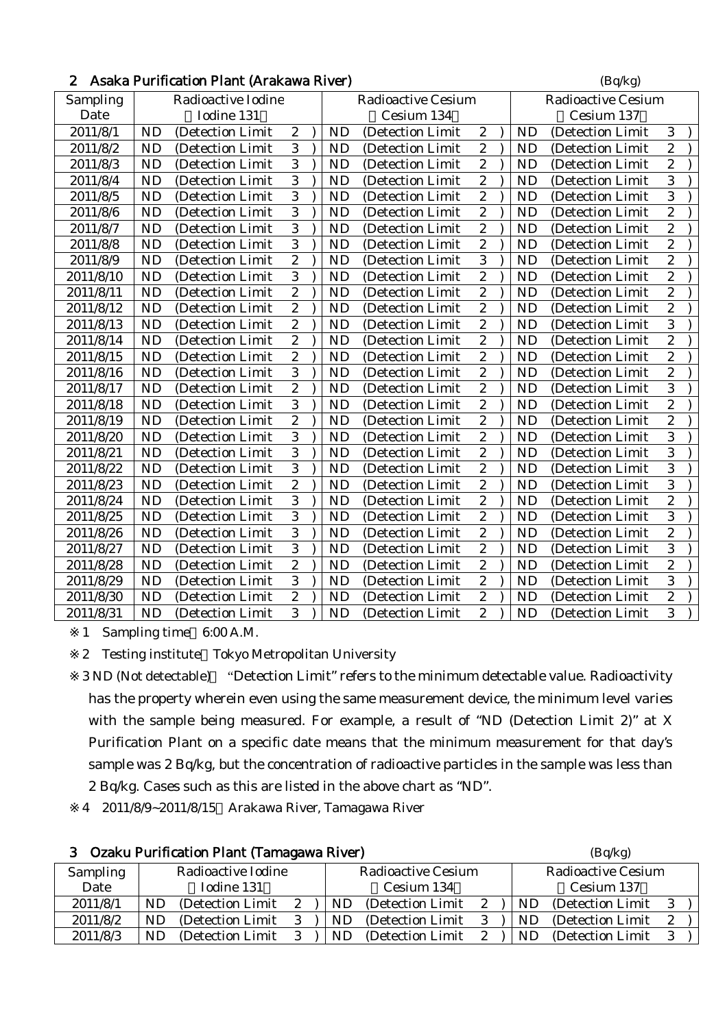|  | 2 Asaka Purification Plant (Arakawa River) | (Bq/kg) |
|--|--------------------------------------------|---------|
|--|--------------------------------------------|---------|

| Sampling  |                        | Radioactive Iodine<br>Iodine 131 |                       |           | <b>Radioactive Cesium</b> |                                    |           | <b>Radioactive Cesium</b> |                  |
|-----------|------------------------|----------------------------------|-----------------------|-----------|---------------------------|------------------------------------|-----------|---------------------------|------------------|
| Date      |                        |                                  |                       |           | Cesium 134                |                                    |           | Cesium 137                | 3                |
| 2011/8/1  | <b>ND</b><br><b>ND</b> | (Detection Limit                 | $\boldsymbol{2}$<br>3 | <b>ND</b> | (Detection Limit          | $\boldsymbol{2}$<br>$\overline{c}$ | <b>ND</b> | (Detection Limit)         | $\overline{2}$   |
| 2011/8/2  | <b>ND</b>              | (Detection Limit)                | 3                     | <b>ND</b> | (Detection Limit          | $\overline{c}$                     | <b>ND</b> | (Detection Limit          | $\overline{2}$   |
| 2011/8/3  |                        | (Detection Limit)                |                       | <b>ND</b> | (Detection Limit          |                                    | <b>ND</b> | (Detection Limit          |                  |
| 2011/8/4  | <b>ND</b>              | (Detection Limit)                | 3                     | <b>ND</b> | (Detection Limit          | $\overline{c}$                     | <b>ND</b> | (Detection Limit          | 3                |
| 2011/8/5  | <b>ND</b>              | (Detection Limit                 | $\overline{3}$        | <b>ND</b> | (Detection Limit          | $\overline{2}$                     | <b>ND</b> | (Detection Limit          | $\overline{3}$   |
| 2011/8/6  | <b>ND</b>              | (Detection Limit                 | 3                     | <b>ND</b> | (Detection Limit          | $\overline{c}$                     | <b>ND</b> | (Detection Limit          | $\overline{c}$   |
| 2011/8/7  | <b>ND</b>              | (Detection Limit                 | $\overline{3}$        | <b>ND</b> | (Detection Limit          | $\overline{c}$                     | <b>ND</b> | (Detection Limit          | $\overline{c}$   |
| 2011/8/8  | <b>ND</b>              | (Detection Limit)                | 3                     | <b>ND</b> | (Detection Limit)         | $\overline{c}$                     | <b>ND</b> | (Detection Limit)         | $\overline{c}$   |
| 2011/8/9  | <b>ND</b>              | (Detection Limit)                | $\overline{c}$        | <b>ND</b> | (Detection Limit)         | $\overline{3}$                     | <b>ND</b> | (Detection Limit)         | $\overline{2}$   |
| 2011/8/10 | <b>ND</b>              | (Detection Limit                 | 3                     | <b>ND</b> | (Detection Limit          | $\overline{c}$                     | <b>ND</b> | (Detection Limit          | $\overline{c}$   |
| 2011/8/11 | <b>ND</b>              | (Detection Limit                 | $\overline{2}$        | <b>ND</b> | (Detection Limit          | $\overline{c}$                     | <b>ND</b> | (Detection Limit          | $\overline{c}$   |
| 2011/8/12 | <b>ND</b>              | (Detection Limit                 | $\overline{2}$        | <b>ND</b> | (Detection Limit          | $\overline{\mathbf{c}}$            | <b>ND</b> | (Detection Limit          | $\overline{2}$   |
| 2011/8/13 | <b>ND</b>              | (Detection Limit                 | $\overline{c}$        | <b>ND</b> | (Detection Limit          | $\overline{2}$                     | <b>ND</b> | (Detection Limit          | $\overline{3}$   |
| 2011/8/14 | <b>ND</b>              | (Detection Limit                 | $\boldsymbol{2}$      | <b>ND</b> | (Detection Limit          | $\overline{c}$                     | <b>ND</b> | (Detection Limit          | $\overline{c}$   |
| 2011/8/15 | <b>ND</b>              | (Detection Limit                 | $\overline{c}$        | <b>ND</b> | (Detection Limit          | $\overline{2}$                     | <b>ND</b> | (Detection Limit          | $\overline{c}$   |
| 2011/8/16 | <b>ND</b>              | (Detection Limit                 | 3                     | <b>ND</b> | (Detection Limit          | $\overline{c}$                     | <b>ND</b> | (Detection Limit          | $\overline{c}$   |
| 2011/8/17 | <b>ND</b>              | (Detection Limit                 | $\overline{c}$        | <b>ND</b> | (Detection Limit          | $\overline{c}$                     | <b>ND</b> | (Detection Limit)         | $\overline{3}$   |
| 2011/8/18 | <b>ND</b>              | (Detection Limit                 | 3                     | <b>ND</b> | (Detection Limit          | $\overline{c}$                     | <b>ND</b> | (Detection Limit          | $\overline{c}$   |
| 2011/8/19 | <b>ND</b>              | (Detection Limit                 | $\overline{2}$        | <b>ND</b> | (Detection Limit          | $\overline{2}$                     | <b>ND</b> | (Detection Limit          | $\overline{c}$   |
| 2011/8/20 | <b>ND</b>              | (Detection Limit                 | $\overline{3}$        | <b>ND</b> | (Detection Limit          | $\overline{c}$                     | <b>ND</b> | (Detection Limit)         | $\overline{3}$   |
| 2011/8/21 | <b>ND</b>              | (Detection Limit                 | 3                     | <b>ND</b> | (Detection Limit          | $\overline{c}$                     | <b>ND</b> | (Detection Limit          | 3                |
| 2011/8/22 | <b>ND</b>              | (Detection Limit                 | 3                     | <b>ND</b> | (Detection Limit          | $\overline{c}$                     | <b>ND</b> | (Detection Limit          | 3                |
| 2011/8/23 | ND                     | (Detection Limit                 | $\overline{2}$        | <b>ND</b> | (Detection Limit          | $\overline{2}$                     | <b>ND</b> | (Detection Limit          | 3                |
| 2011/8/24 | <b>ND</b>              | (Detection Limit                 | 3                     | <b>ND</b> | (Detection Limit          | $\overline{c}$                     | <b>ND</b> | (Detection Limit          | $\overline{c}$   |
| 2011/8/25 | <b>ND</b>              | (Detection Limit)                | $\overline{3}$        | <b>ND</b> | (Detection Limit          | $\overline{2}$                     | <b>ND</b> | (Detection Limit)         | $\overline{3}$   |
| 2011/8/26 | <b>ND</b>              | (Detection Limit                 | 3                     | <b>ND</b> | (Detection Limit          | $\overline{c}$                     | <b>ND</b> | (Detection Limit          | $\overline{c}$   |
| 2011/8/27 | ND                     | (Detection Limit                 | 3                     | <b>ND</b> | (Detection Limit          | $\overline{c}$                     | <b>ND</b> | (Detection Limit          | 3                |
| 2011/8/28 | <b>ND</b>              | (Detection Limit                 | $\overline{2}$        | <b>ND</b> | (Detection Limit          | $\overline{\mathbf{c}}$            | <b>ND</b> | (Detection Limit          | $\overline{2}$   |
| 2011/8/29 | <b>ND</b>              | (Detection Limit                 | $\overline{3}$        | <b>ND</b> | (Detection Limit          | $\overline{c}$                     | <b>ND</b> | (Detection Limit          | $\overline{3}$   |
| 2011/8/30 | <b>ND</b>              | (Detection Limit                 | $\boldsymbol{2}$      | ND        | (Detection Limit          | $\boldsymbol{2}$                   | <b>ND</b> | (Detection Limit          | $\boldsymbol{2}$ |
| 2011/8/31 | ND                     | (Detection Limit                 | $\overline{3}$        | ND        | (Detection Limit          | $\overline{2}$                     | <b>ND</b> | (Detection Limit          | $\overline{3}$   |

2 Testing institute Tokyo Metropolitan University

3 ND (Not detectable) "Detection Limit" refers to the minimum detectable value. Radioactivity has the property wherein even using the same measurement device, the minimum level varies with the sample being measured. For example, a result of "ND (Detection Limit 2)" at X Purification Plant on a specific date means that the minimum measurement for that day's sample was 2 Bq/kg, but the concentration of radioactive particles in the sample was less than 2 Bq/kg. Cases such as this are listed in the above chart as "ND".

4 2011/8/9~2011/8/15 Arakawa River, Tamagawa River

| 3               | Ozaku Purification Plant (Tamagawa River) | (Bq/kg)                                                      |
|-----------------|-------------------------------------------|--------------------------------------------------------------|
| <b>Sampling</b> | Radioactive Iodine                        | <b>Radioactive Cesium</b><br><b>Radioactive Cesium</b>       |
| Date            | Iodine 131                                | Cesium 134<br>Cesium 137                                     |
| 2011/8/1        | (Detection Limit)<br>ND<br>2              | (Detection Limit)<br>(Detection Limit)<br>ND<br>2            |
| 2011/8/2        | (Detection Limit)<br>3<br>ND.<br>ND       | (Detection Limit)<br>- 3<br>(Detection Limit)<br>ND          |
| 2011/8/3        | (Detection Limit)<br>3<br>ND<br>ND        | (Detection Limit)<br>(Detection Limit)<br>$\mathbf{2}$<br>ND |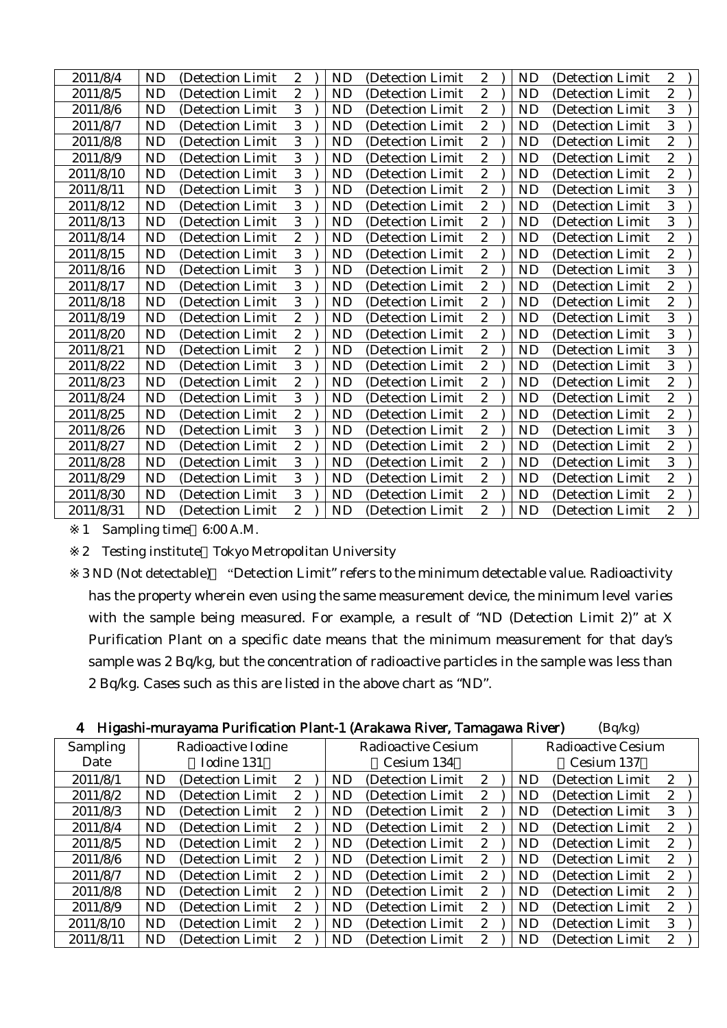| 2011/8/4  | ND        | (Detection Limit) | $\boldsymbol{2}$ | <b>ND</b> | (Detection Limit) | $\boldsymbol{2}$ | <b>ND</b> | (Detection Limit) | 2                       |  |
|-----------|-----------|-------------------|------------------|-----------|-------------------|------------------|-----------|-------------------|-------------------------|--|
| 2011/8/5  | ND        | (Detection Limit) | $\boldsymbol{2}$ | <b>ND</b> | (Detection Limit) | $\boldsymbol{2}$ | <b>ND</b> | (Detection Limit  | $\overline{c}$          |  |
| 2011/8/6  | <b>ND</b> | (Detection Limit) | 3                | <b>ND</b> | (Detection Limit) | $\boldsymbol{2}$ | <b>ND</b> | (Detection Limit  | 3                       |  |
| 2011/8/7  | <b>ND</b> | (Detection Limit) | 3                | ND        | (Detection Limit) | $\boldsymbol{2}$ | <b>ND</b> | (Detection Limit) | 3                       |  |
| 2011/8/8  | <b>ND</b> | (Detection Limit) | 3                | <b>ND</b> | (Detection Limit) | $\boldsymbol{2}$ | <b>ND</b> | (Detection Limit  | $\overline{c}$          |  |
| 2011/8/9  | <b>ND</b> | (Detection Limit) | 3                | <b>ND</b> | (Detection Limit) | $\boldsymbol{2}$ | <b>ND</b> | (Detection Limit  | $\overline{\mathbf{c}}$ |  |
| 2011/8/10 | <b>ND</b> | (Detection Limit) | 3                | <b>ND</b> | (Detection Limit) | $\boldsymbol{2}$ | <b>ND</b> | (Detection Limit) | $\overline{c}$          |  |
| 2011/8/11 | ND        | (Detection Limit) | 3                | ND        | (Detection Limit) | $\boldsymbol{2}$ | ND        | (Detection Limit) | 3                       |  |
| 2011/8/12 | <b>ND</b> | (Detection Limit) | 3                | <b>ND</b> | (Detection Limit) | $\boldsymbol{2}$ | <b>ND</b> | (Detection Limit  | 3                       |  |
| 2011/8/13 | <b>ND</b> | (Detection Limit) | 3                | <b>ND</b> | (Detection Limit) | $\boldsymbol{2}$ | <b>ND</b> | (Detection Limit  | 3                       |  |
| 2011/8/14 | ND        | (Detection Limit) | $\boldsymbol{2}$ | <b>ND</b> | (Detection Limit) | $\boldsymbol{2}$ | ND        | (Detection Limit  | $\boldsymbol{2}$        |  |
| 2011/8/15 | <b>ND</b> | (Detection Limit) | 3                | <b>ND</b> | (Detection Limit) | $\boldsymbol{2}$ | <b>ND</b> | (Detection Limit) | $\overline{c}$          |  |
| 2011/8/16 | <b>ND</b> | (Detection Limit) | 3                | <b>ND</b> | (Detection Limit) | $\boldsymbol{2}$ | <b>ND</b> | (Detection Limit  | 3                       |  |
| 2011/8/17 | <b>ND</b> | (Detection Limit  | 3                | ND        | (Detection Limit) | $\boldsymbol{2}$ | <b>ND</b> | (Detection Limit  | $\boldsymbol{2}$        |  |
| 2011/8/18 | <b>ND</b> | (Detection Limit) | 3                | <b>ND</b> | (Detection Limit) | $\boldsymbol{2}$ | <b>ND</b> | (Detection Limit  | $\overline{c}$          |  |
| 2011/8/19 | ND        | (Detection Limit) | $\boldsymbol{2}$ | <b>ND</b> | (Detection Limit) | $\boldsymbol{2}$ | <b>ND</b> | (Detection Limit  | 3                       |  |
| 2011/8/20 | <b>ND</b> | (Detection Limit  | $\boldsymbol{2}$ | <b>ND</b> | (Detection Limit) | $\boldsymbol{2}$ | <b>ND</b> | (Detection Limit  | 3                       |  |
| 2011/8/21 | <b>ND</b> | (Detection Limit) | $\boldsymbol{2}$ | <b>ND</b> | (Detection Limit) | $\boldsymbol{2}$ | <b>ND</b> | (Detection Limit) | 3                       |  |
| 2011/8/22 | <b>ND</b> | (Detection Limit) | 3                | <b>ND</b> | (Detection Limit) | $\boldsymbol{2}$ | <b>ND</b> | (Detection Limit  | 3                       |  |
| 2011/8/23 | ND        | (Detection Limit  | $\boldsymbol{2}$ | <b>ND</b> | (Detection Limit) | $\boldsymbol{2}$ | <b>ND</b> | (Detection Limit  | $\overline{c}$          |  |
| 2011/8/24 | <b>ND</b> | (Detection Limit) | 3                | <b>ND</b> | (Detection Limit) | $\boldsymbol{2}$ | <b>ND</b> | (Detection Limit) | $\overline{c}$          |  |
| 2011/8/25 | <b>ND</b> | (Detection Limit) | $\boldsymbol{2}$ | <b>ND</b> | (Detection Limit) | $\boldsymbol{2}$ | <b>ND</b> | (Detection Limit  | $\overline{c}$          |  |
| 2011/8/26 | <b>ND</b> | (Detection Limit  | 3                | <b>ND</b> | (Detection Limit) | $\boldsymbol{2}$ | <b>ND</b> | (Detection Limit  | 3                       |  |
| 2011/8/27 | ND        | (Detection Limit) | $\overline{2}$   | <b>ND</b> | (Detection Limit) | $\boldsymbol{2}$ | <b>ND</b> | (Detection Limit  | $\overline{2}$          |  |
| 2011/8/28 | <b>ND</b> | (Detection Limit) | 3                | ND        | (Detection Limit) | $\boldsymbol{2}$ | <b>ND</b> | (Detection Limit  | 3                       |  |
| 2011/8/29 | <b>ND</b> | (Detection Limit  | 3                | <b>ND</b> | (Detection Limit  | $\boldsymbol{2}$ | <b>ND</b> | (Detection Limit  | $\overline{c}$          |  |
| 2011/8/30 | ND        | (Detection Limit) | 3                | <b>ND</b> | (Detection Limit) | $\boldsymbol{2}$ | <b>ND</b> | (Detection Limit  | $\overline{c}$          |  |
| 2011/8/31 | <b>ND</b> | (Detection Limit) | $\boldsymbol{2}$ | <b>ND</b> | (Detection Limit) | $\boldsymbol{2}$ | <b>ND</b> | (Detection Limit) | $\overline{c}$          |  |
|           |           |                   |                  |           |                   |                  |           |                   |                         |  |

2 Testing institute Tokyo Metropolitan University

| 4 Higashi-murayama Purification Plant-1 (Arakawa River, Tamagawa River) |  |  | (Bq/kg) |
|-------------------------------------------------------------------------|--|--|---------|
|                                                                         |  |  |         |

| <b>Sampling</b> |           | Radioactive Iodine |                       |  |                | Radioactive Cesium |              |  |     | Radioactive Cesium |                  |  |  |
|-----------------|-----------|--------------------|-----------------------|--|----------------|--------------------|--------------|--|-----|--------------------|------------------|--|--|
| Date            |           | Iodine 131         |                       |  |                | Cesium 134         |              |  |     | Cesium 137         |                  |  |  |
| 2011/8/1        | ND.       | (Detection Limit   | 2                     |  | ND.            | (Detection Limit)  | $2^{\circ}$  |  | ND. | (Detection Limit)  | 2                |  |  |
| 2011/8/2        | ND.       | (Detection Limit)  | 2                     |  | <b>ND</b>      | (Detection Limit)  | $\mathbf{2}$ |  | ND  | (Detection Limit)  | 2                |  |  |
| 2011/8/3        | ND.       | (Detection Limit)  | 2                     |  | ND.            | (Detection Limit)  | $2^{\circ}$  |  | ND. | (Detection Limit)  | 3                |  |  |
| 2011/8/4        | ND.       | (Detection Limit)  | $\boldsymbol{2}$      |  | <b>ND</b>      | (Detection Limit)  | $\mathbf{2}$ |  | ND  | (Detection Limit)  | 2                |  |  |
| 2011/8/5        | <b>ND</b> | (Detection Limit)  | 2                     |  | N <sub>D</sub> | (Detection Limit)  | $\mathbf{2}$ |  | ND  | (Detection Limit)  | $\boldsymbol{2}$ |  |  |
| 2011/8/6        | ND.       | (Detection Limit)  | $\mathbf{2}^{\prime}$ |  | ND.            | (Detection Limit)  | $2^{\circ}$  |  | ND. | (Detection Limit)  | $\boldsymbol{2}$ |  |  |
| 2011/8/7        | ND.       | (Detection Limit)  | 2                     |  | ND             | (Detection Limit)  | $\mathbf{2}$ |  | ND. | (Detection Limit)  | 2                |  |  |
| 2011/8/8        | ND.       | (Detection Limit)  | 2                     |  | <b>ND</b>      | (Detection Limit)  | $2^{\circ}$  |  | ND  | (Detection Limit)  | $\boldsymbol{2}$ |  |  |
| 2011/8/9        | ND.       | (Detection Limit)  | $\mathbf{2}^{\prime}$ |  | ND.            | (Detection Limit)  | $\mathbf{2}$ |  | ND  | (Detection Limit)  | $\boldsymbol{2}$ |  |  |
| 2011/8/10       | ND.       | (Detection Limit)  | 2                     |  | <b>ND</b>      | (Detection Limit)  | $2^{\circ}$  |  | ND. | (Detection Limit)  | 3                |  |  |
| 2011/8/11       | ND.       | (Detection Limit)  | 2                     |  | ND.            | (Detection Limit)  | $2^{\circ}$  |  | ND  | (Detection Limit)  | 2                |  |  |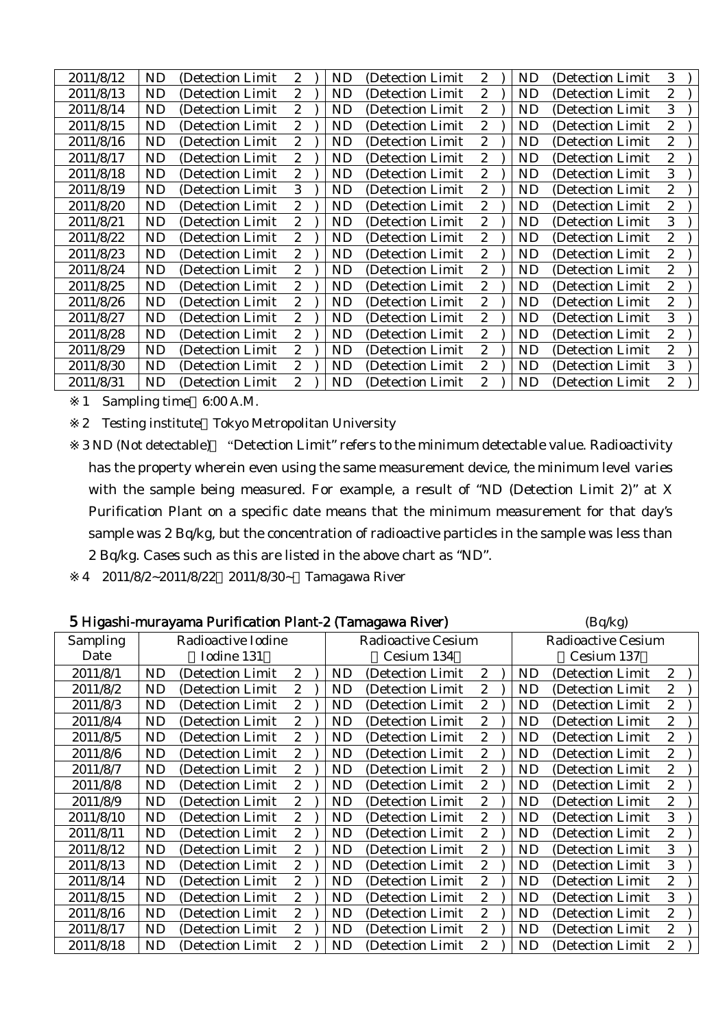| 2011/8/12 | ND | (Detection Limit  | $\mathbf{2}^{\prime}$ | <b>ND</b> | (Detection Limit) | $\mathbf{2}$     | ND        | (Detection Limit) | 3                |  |
|-----------|----|-------------------|-----------------------|-----------|-------------------|------------------|-----------|-------------------|------------------|--|
| 2011/8/13 | ND | (Detection Limit  | $\mathbf{2}^{\prime}$ | ND        | (Detection Limit) | 2                | ND        | (Detection Limit) | 2                |  |
| 2011/8/14 | ND | (Detection Limit  | 2                     | <b>ND</b> | (Detection Limit) | 2                | ND        | (Detection Limit) | 3                |  |
| 2011/8/15 | ND | (Detection Limit  | $\overline{2}$        | <b>ND</b> | (Detection Limit) | $\mathbf{2}$     | ND        | (Detection Limit) | 2                |  |
| 2011/8/16 | ND | (Detection Limit  | $\mathbf{2}$          | <b>ND</b> | (Detection Limit  | $\mathbf{2}$     | ND        | (Detection Limit) | 2                |  |
| 2011/8/17 | ND | (Detection Limit  | $\mathbf{2}^{\prime}$ | <b>ND</b> | (Detection Limit) | $\boldsymbol{2}$ | ND        | (Detection Limit) | 2                |  |
| 2011/8/18 | ND | (Detection Limit  | 2                     | <b>ND</b> | (Detection Limit) | 2                | ND        | (Detection Limit) | 3                |  |
| 2011/8/19 | ND | (Detection Limit) | 3                     | <b>ND</b> | (Detection Limit) | 2                | ND        | (Detection Limit) | 2                |  |
| 2011/8/20 | ND | (Detection Limit  | $\mathbf{2}^{\prime}$ | <b>ND</b> | (Detection Limit) | $\boldsymbol{2}$ | ND        | (Detection Limit) | 2                |  |
| 2011/8/21 | ND | (Detection Limit  | 2                     | <b>ND</b> | (Detection Limit) | $\mathbf{2}$     | ND        | (Detection Limit) | 3                |  |
| 2011/8/22 | ND | (Detection Limit  | 2                     | ND        | (Detection Limit) | $\mathbf{2}$     | ND        | (Detection Limit) | 2                |  |
| 2011/8/23 | ND | (Detection Limit  | $\mathbf{2}^{\prime}$ | <b>ND</b> | (Detection Limit  | $\mathbf{2}$     | ND        | (Detection Limit) | $\boldsymbol{2}$ |  |
| 2011/8/24 | ND | (Detection Limit  | $\mathbf{2}$          | <b>ND</b> | (Detection Limit) | $\boldsymbol{2}$ | ND        | (Detection Limit) | 2                |  |
| 2011/8/25 | ND | (Detection Limit  | 2                     | <b>ND</b> | (Detection Limit) | 2                | ND        | (Detection Limit) | 2                |  |
| 2011/8/26 | ND | (Detection Limit) | $\mathbf{2}^{\prime}$ | <b>ND</b> | (Detection Limit) | $\boldsymbol{2}$ | ND        | (Detection Limit) | 2                |  |
| 2011/8/27 | ND | (Detection Limit  | $\mathbf{2}^{\prime}$ | <b>ND</b> | (Detection Limit) | $\boldsymbol{2}$ | ND        | (Detection Limit) | 3                |  |
| 2011/8/28 | ND | (Detection Limit  | 2                     | <b>ND</b> | (Detection Limit) | $\boldsymbol{2}$ | ND        | (Detection Limit) | 2                |  |
| 2011/8/29 | ND | (Detection Limit  | $\boldsymbol{2}$      | ND        | (Detection Limit) | 2                | ND        | (Detection Limit) | 2                |  |
| 2011/8/30 | ND | (Detection Limit  | $\mathbf{2}^{\prime}$ | <b>ND</b> | (Detection Limit) | $\boldsymbol{2}$ | <b>ND</b> | (Detection Limit) | 3                |  |
| 2011/8/31 | ND | (Detection Limit  | $\overline{2}$        | <b>ND</b> | (Detection Limit  | $\boldsymbol{2}$ | ND        | (Detection Limit  | 2                |  |

2 Testing institute Tokyo Metropolitan University

3 ND (Not detectable) "Detection Limit" refers to the minimum detectable value. Radioactivity has the property wherein even using the same measurement device, the minimum level varies with the sample being measured. For example, a result of "ND (Detection Limit 2)" at X Purification Plant on a specific date means that the minimum measurement for that day's sample was 2 Bq/kg, but the concentration of radioactive particles in the sample was less than 2 Bq/kg. Cases such as this are listed in the above chart as "ND".

4 2011/8/2~2011/8/22 2011/8/30~ Tamagawa River

|           |           | 5 Higashi-murayama Purification Plant-2 (Tamagawa River) |                  |           |                    |                  |           | (Bq/kg)                   |                  |  |
|-----------|-----------|----------------------------------------------------------|------------------|-----------|--------------------|------------------|-----------|---------------------------|------------------|--|
| Sampling  |           | Radioactive Iodine                                       |                  |           | Radioactive Cesium |                  |           | <b>Radioactive Cesium</b> |                  |  |
| Date      |           | Iodine 131                                               |                  |           | Cesium 134         |                  |           | Cesium 137                |                  |  |
| 2011/8/1  | <b>ND</b> | (Detection Limit                                         | 2                | ND        | (Detection Limit   | $\boldsymbol{2}$ | ND        | (Detection Limit)         | $\mathbf{2}$     |  |
| 2011/8/2  | ND        | (Detection Limit                                         | 2                | ND        | (Detection Limit)  | 2                | ND        | (Detection Limit)         | $\overline{c}$   |  |
| 2011/8/3  | <b>ND</b> | (Detection Limit                                         | $\overline{c}$   | <b>ND</b> | (Detection Limit   | 2                | ND        | (Detection Limit)         | $\boldsymbol{2}$ |  |
| 2011/8/4  | <b>ND</b> | (Detection Limit)                                        | 2                | ND        | (Detection Limit)  | 2                | ND        | (Detection Limit          | $\boldsymbol{2}$ |  |
| 2011/8/5  | <b>ND</b> | (Detection Limit                                         | $\overline{c}$   | <b>ND</b> | (Detection Limit   | 2                | <b>ND</b> | (Detection Limit)         | $\boldsymbol{2}$ |  |
| 2011/8/6  | <b>ND</b> | (Detection Limit)                                        | 2                | ND        | (Detection Limit)  | 2                | ND        | (Detection Limit)         | $\boldsymbol{2}$ |  |
| 2011/8/7  | <b>ND</b> | (Detection Limit                                         | $\boldsymbol{2}$ | <b>ND</b> | (Detection Limit   | $\overline{c}$   | <b>ND</b> | (Detection Limit          | $\boldsymbol{2}$ |  |
| 2011/8/8  | <b>ND</b> | (Detection Limit                                         | 2                | <b>ND</b> | (Detection Limit   | 2                | <b>ND</b> | (Detection Limit          | $\boldsymbol{2}$ |  |
| 2011/8/9  | ND        | (Detection Limit                                         | $\overline{2}$   | <b>ND</b> | (Detection Limit   | 2                | ND        | (Detection Limit)         | $\overline{2}$   |  |
| 2011/8/10 | <b>ND</b> | (Detection Limit                                         | 2                | <b>ND</b> | (Detection Limit)  | 2                | <b>ND</b> | (Detection Limit)         | 3                |  |
| 2011/8/11 | <b>ND</b> | (Detection Limit)                                        | $\overline{c}$   | <b>ND</b> | (Detection Limit)  | $\overline{2}$   | <b>ND</b> | (Detection Limit)         | $\overline{2}$   |  |
| 2011/8/12 | <b>ND</b> | (Detection Limit                                         | $\overline{c}$   | <b>ND</b> | (Detection Limit)  | 2                | <b>ND</b> | (Detection Limit)         | 3                |  |
| 2011/8/13 | <b>ND</b> | (Detection Limit)                                        | 2                | <b>ND</b> | (Detection Limit)  | $\overline{c}$   | <b>ND</b> | (Detection Limit)         | 3                |  |
| 2011/8/14 | <b>ND</b> | (Detection Limit                                         | $\overline{c}$   | <b>ND</b> | (Detection Limit)  | 2                | ND        | (Detection Limit)         | $\boldsymbol{2}$ |  |
| 2011/8/15 | <b>ND</b> | (Detection Limit)                                        | $\boldsymbol{2}$ | <b>ND</b> | (Detection Limit)  | $\overline{c}$   | ND        | (Detection Limit)         | 3                |  |
| 2011/8/16 | <b>ND</b> | (Detection Limit                                         | $\boldsymbol{2}$ | <b>ND</b> | (Detection Limit   | 2                | <b>ND</b> | (Detection Limit          | $\boldsymbol{2}$ |  |
| 2011/8/17 | <b>ND</b> | (Detection Limit)                                        | 2                | ND        | (Detection Limit)  | $\mathbf{2}$     | <b>ND</b> | (Detection Limit)         | $\boldsymbol{2}$ |  |
| 2011/8/18 | ND        | (Detection Limit                                         | 2                | ND        | (Detection Limit   | 2                | ND        | (Detection Limit)         | $\boldsymbol{2}$ |  |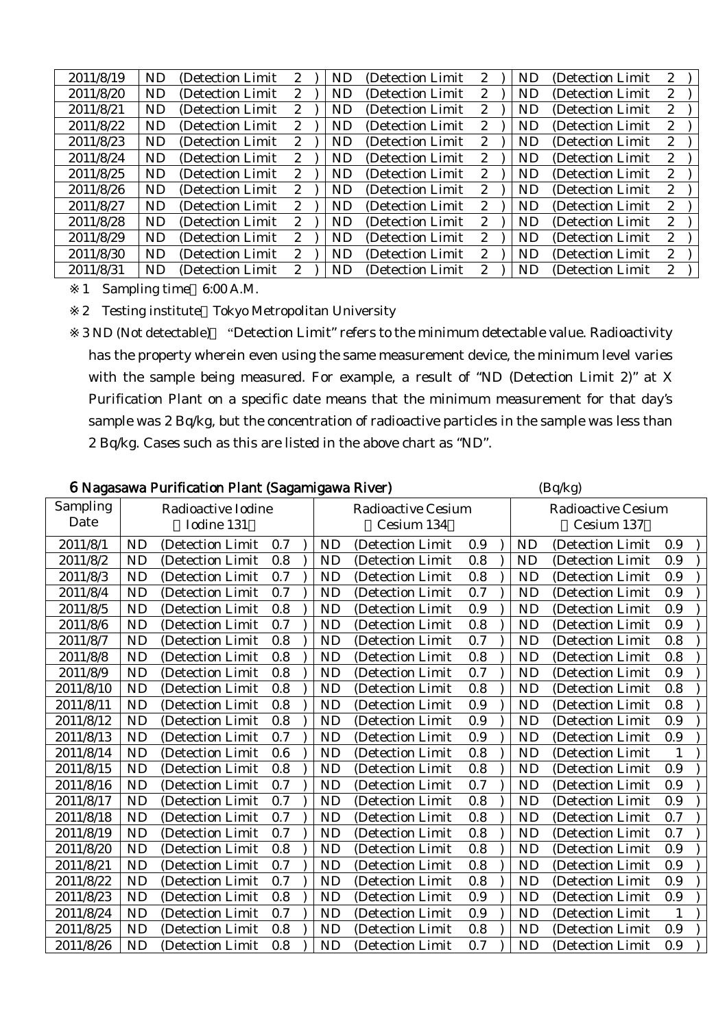| 2011/8/19 | <b>ND</b> | (Detection Limit  | 2            | ND        | (Detection Limit) | $\mathbf{2}$          | <b>ND</b> | (Detection Limit) | 2                     |  |
|-----------|-----------|-------------------|--------------|-----------|-------------------|-----------------------|-----------|-------------------|-----------------------|--|
| 2011/8/20 | ND        | (Detection Limit) | 2            | ND        | (Detection Limit) | $\mathbf{2}^{\prime}$ | ND        | (Detection Limit) | $\boldsymbol{2}$      |  |
| 2011/8/21 | ND.       | (Detection Limit  | 2            | <b>ND</b> | (Detection Limit) | $\mathbf{2}^{\prime}$ | ND        | (Detection Limit) | 2                     |  |
| 2011/8/22 | <b>ND</b> | (Detection Limit  | 2            | <b>ND</b> | (Detection Limit) | 2                     | <b>ND</b> | (Detection Limit) | 2                     |  |
| 2011/8/23 | ND        | (Detection Limit) | 2            | ND        | (Detection Limit) | $2^{\circ}$           | ND        | (Detection Limit) | 2                     |  |
| 2011/8/24 | ND.       | (Detection Limit) | 2            | <b>ND</b> | (Detection Limit) | $\mathbf{2}^{\prime}$ | ND        | (Detection Limit) | 2                     |  |
| 2011/8/25 | ND.       | (Detection Limit) | 2            | <b>ND</b> | (Detection Limit) | $\mathbf{2}^{\prime}$ | ND        | (Detection Limit) | 2                     |  |
| 2011/8/26 | ND.       | (Detection Limit) | 2            | <b>ND</b> | (Detection Limit) | $2^{\circ}$           | ND        | (Detection Limit) | $\mathbf{2}^{\prime}$ |  |
| 2011/8/27 | ND.       | (Detection Limit) | $\mathbf{2}$ | <b>ND</b> | (Detection Limit) | 2                     | ND        | (Detection Limit) | 2                     |  |
| 2011/8/28 | ND        | (Detection Limit  | 2            | <b>ND</b> | (Detection Limit) | $\mathbf{2}^{\prime}$ | ND        | (Detection Limit) | 2                     |  |
| 2011/8/29 | ND.       | (Detection Limit) | 2            | <b>ND</b> | (Detection Limit) | $2^{\circ}$           | ND        | (Detection Limit) | 2                     |  |
| 2011/8/30 | ND.       | (Detection Limit) | 2            | <b>ND</b> | (Detection Limit) | $\mathbf{2}^{\prime}$ | ND        | (Detection Limit) | 2                     |  |
| 2011/8/31 | ND.       | (Detection Limit  | 2            | <b>ND</b> | (Detection Limit) | 2                     | ND        | (Detection Limit) | 2                     |  |

2 Testing institute Tokyo Metropolitan University

|                  |           | 6 Nagasawa Purification Plant (Sagamigawa River) |     |           |                                         |     |           | (Bq/kg)                                 |              |  |
|------------------|-----------|--------------------------------------------------|-----|-----------|-----------------------------------------|-----|-----------|-----------------------------------------|--------------|--|
| Sampling<br>Date |           | Radioactive Iodine<br>Iodine 131                 |     |           | <b>Radioactive Cesium</b><br>Cesium 134 |     |           | <b>Radioactive Cesium</b><br>Cesium 137 |              |  |
| 2011/8/1         | <b>ND</b> | (Detection Limit                                 | 0.7 | <b>ND</b> | (Detection Limit                        | 0.9 | <b>ND</b> | (Detection Limit                        | 0.9          |  |
| 2011/8/2         | <b>ND</b> | (Detection Limit                                 | 0.8 | ND        | (Detection Limit)                       | 0.8 | <b>ND</b> | (Detection Limit                        | 0.9          |  |
| 2011/8/3         | <b>ND</b> | (Detection Limit                                 | 0.7 | <b>ND</b> | (Detection Limit                        | 0.8 | <b>ND</b> | (Detection Limit                        | 0.9          |  |
| 2011/8/4         | <b>ND</b> | (Detection Limit                                 | 0.7 | <b>ND</b> | (Detection Limit                        | 0.7 | ND        | (Detection Limit                        | 0.9          |  |
| 2011/8/5         | <b>ND</b> | (Detection Limit                                 | 0.8 | <b>ND</b> | (Detection Limit                        | 0.9 | <b>ND</b> | (Detection Limit                        | 0.9          |  |
| 2011/8/6         | <b>ND</b> | (Detection Limit                                 | 0.7 | <b>ND</b> | (Detection Limit                        | 0.8 | <b>ND</b> | (Detection Limit                        | 0.9          |  |
| 2011/8/7         | <b>ND</b> | (Detection Limit                                 | 0.8 | <b>ND</b> | (Detection Limit                        | 0.7 | <b>ND</b> | (Detection Limit                        | 0.8          |  |
| 2011/8/8         | <b>ND</b> | (Detection Limit                                 | 0.8 | <b>ND</b> | (Detection Limit                        | 0.8 | <b>ND</b> | (Detection Limit                        | 0.8          |  |
| 2011/8/9         | <b>ND</b> | (Detection Limit                                 | 0.8 | <b>ND</b> | (Detection Limit                        | 0.7 | <b>ND</b> | (Detection Limit                        | 0.9          |  |
| 2011/8/10        | <b>ND</b> | (Detection Limit                                 | 0.8 | <b>ND</b> | (Detection Limit                        | 0.8 | <b>ND</b> | (Detection Limit                        | 0.8          |  |
| 2011/8/11        | <b>ND</b> | (Detection Limit                                 | 0.8 | <b>ND</b> | (Detection Limit                        | 0.9 | <b>ND</b> | (Detection Limit                        | 0.8          |  |
| 2011/8/12        | <b>ND</b> | (Detection Limit                                 | 0.8 | <b>ND</b> | (Detection Limit                        | 0.9 | <b>ND</b> | (Detection Limit                        | 0.9          |  |
| 2011/8/13        | <b>ND</b> | (Detection Limit                                 | 0.7 | <b>ND</b> | (Detection Limit                        | 0.9 | <b>ND</b> | (Detection Limit                        | 0.9          |  |
| 2011/8/14        | <b>ND</b> | (Detection Limit                                 | 0.6 | <b>ND</b> | (Detection Limit                        | 0.8 | <b>ND</b> | (Detection Limit                        | 1            |  |
| 2011/8/15        | <b>ND</b> | (Detection Limit                                 | 0.8 | <b>ND</b> | (Detection Limit                        | 0.8 | <b>ND</b> | (Detection Limit                        | 0.9          |  |
| 2011/8/16        | <b>ND</b> | (Detection Limit                                 | 0.7 | <b>ND</b> | (Detection Limit                        | 0.7 | <b>ND</b> | (Detection Limit                        | 0.9          |  |
| 2011/8/17        | <b>ND</b> | (Detection Limit)                                | 0.7 | <b>ND</b> | (Detection Limit)                       | 0.8 | <b>ND</b> | (Detection Limit)                       | 0.9          |  |
| 2011/8/18        | <b>ND</b> | (Detection Limit                                 | 0.7 | <b>ND</b> | (Detection Limit                        | 0.8 | <b>ND</b> | (Detection Limit                        | 0.7          |  |
| 2011/8/19        | <b>ND</b> | (Detection Limit                                 | 0.7 | <b>ND</b> | (Detection Limit                        | 0.8 | <b>ND</b> | (Detection Limit                        | 0.7          |  |
| 2011/8/20        | <b>ND</b> | (Detection Limit                                 | 0.8 | <b>ND</b> | (Detection Limit                        | 0.8 | <b>ND</b> | (Detection Limit                        | 0.9          |  |
| 2011/8/21        | <b>ND</b> | (Detection Limit)                                | 0.7 | <b>ND</b> | (Detection Limit                        | 0.8 | <b>ND</b> | (Detection Limit                        | 0.9          |  |
| 2011/8/22        | <b>ND</b> | (Detection Limit                                 | 0.7 | <b>ND</b> | (Detection Limit                        | 0.8 | <b>ND</b> | (Detection Limit                        | 0.9          |  |
| 2011/8/23        | <b>ND</b> | (Detection Limit                                 | 0.8 | <b>ND</b> | (Detection Limit                        | 0.9 | <b>ND</b> | (Detection Limit                        | 0.9          |  |
| 2011/8/24        | <b>ND</b> | (Detection Limit                                 | 0.7 | <b>ND</b> | (Detection Limit                        | 0.9 | <b>ND</b> | (Detection Limit                        | $\mathbf{1}$ |  |
| 2011/8/25        | <b>ND</b> | (Detection Limit                                 | 0.8 | <b>ND</b> | (Detection Limit                        | 0.8 | <b>ND</b> | (Detection Limit                        | 0.9          |  |
| 2011/8/26        | <b>ND</b> | (Detection Limit                                 | 0.8 | <b>ND</b> | (Detection Limit)                       | 0.7 | <b>ND</b> | (Detection Limit                        | 0.9          |  |